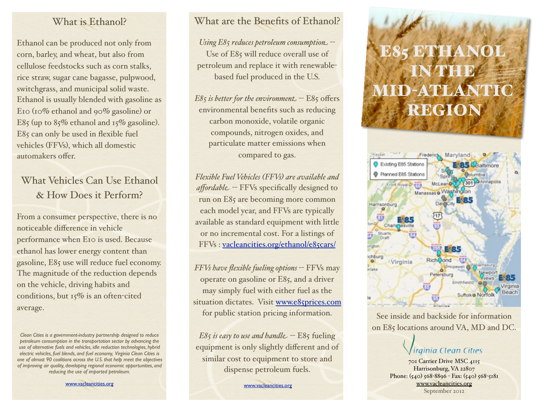## What is Ethanol?

Ethanol can be produced not only from corn, barley, and wheat, but also from cellulose feedstocks such as corn stalks, rice straw, sugar cane bagasse, pulpwood, switchgrass, and municipal solid waste. Ethanol is usually blended with gasoline as E10 (10% ethanol and 90% gasoline) or E85 (up to  $85\%$  ethanol and  $15\%$  gasoline). E85 can only be used in flexible fuel vehicles (FFVs), which all domestic automakers offer.

# What Vehicles Can Use Ethanol & How Does it Perform?

From a consumer perspective, there is no noticeable difference in vehicle performance when E10 is used. Because ethanol has lower energy content than gasoline, E85 use will reduce fuel economy. The magnitude of the reduction depends on the vehicle, driving habits and conditions, but 15% is an often-cited average.

[www.vacleancities.org](http://www.hrccc.org)

## What are the Benefits of Ethanol?

*Using E85 reduces petroleum consumption* -- Use of E85 will reduce overall use of petroleum and replace it with renewablebased fuel produced in the U.S.

 $E85$  *is better for the environment*  $- E85$  offers environmental benefits such as reducing carbon monoxide, volatile organic compounds, nitrogen oxides, and particulate matter emissions when compared to gas.

*Flexible Fuel Vehicles (FFVs) are available and affordable* -- FFVs specifically designed to run on E85 are becoming more common each model year, and FFVs are typically available as standard equipment with little or no incremental cost. For a listings of FFVs : [vacleancities.org/ethanol/e85cars/](http://www.hrccc.org/ethanol/e85cars/) 

*FFVs have flexible fueling options* -- FFVs may operate on gasoline or E85, and a driver may simply fuel with either fuel as the situation dictates. Visit [www.e85prices.com](http://www.e85prices.com) for public station pricing information.

*E85 is easy to use and handle* -- E85 fueling equipment is only slightly different and of similar cost to equipment to store and dispense petroleum fuels.

[www.vacleancities.org](http://www.hrccc.org)

# ESTEL IN THE **MID-ATLANTI** REGION



See inside and backside for information on E85 locations around VA, MD and DC.

# ainia Clean Cities

701 Carrier Drive MSC 4115 Harrisonburg, VA 22807 Phone: (540) 568-8896 - Fax: (540) 568-5181 [www.vacleancities.org](http://www.hrccc.org) September 2012

*Clean Cities is a government-industry partnership designed to reduce petroleum consumption in the transportation sector by advancing the use of alternative fuels and vehicles, idle reduction technologies, hybrid electric vehicles, fuel blends, and fuel economy, Virginia Clean Cities is one of almost 90 coalitions across the U.S. that help meet the objectives of improving air quality, developing regional economic opportunities, and reducing the use of imported petroleum.*